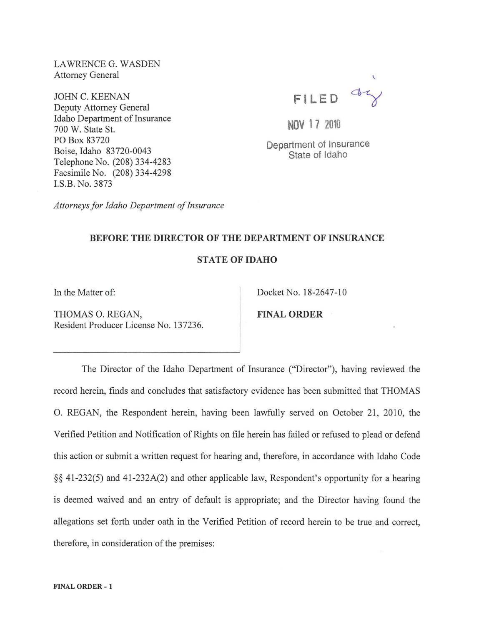LAWRENCE G. WASDEN Attorney General

JOHN C. KEENAN Deputy Attorney General Idaho Department of Insurance 700 W. State St. PO Box 83720 Boise, Idaho 83720-0043 Telephone No. (208) 334-4283 Facsimile No. (208) 334-4298 LS.B. No. 3873

FILED WY

NOV 1 7 2010

Department of Insurance State of Idaho

*Attorneys for Idaho Department of Insurance* 

## BEFORE THE DIRECTOR OF THE DEPARTMENT OF INSURANCE

STATE OF IDAHO

THOMAS O. REGAN, FINAL ORDER Resident Producer License No. 137236.

In the Matter of: Docket No. 18-2647-10

The Director of the Idaho Department of Insurance ("Director"), having reviewed the record herein, finds and concludes that satisfactory evidence has been submitted that THOMAS O. REGAN, the Respondent herein, having been lawfully served on October 21, 2010, the Verified Petition and Notification of Rights on file herein has failed or refused to plead or defend this action or submit a written request for hearing and, therefore, in accordance with Idaho Code §§ 41-232(5) and 41-232A(2) and other applicable law, Respondent's opportunity for a hearing is deemed waived and an entry of default is appropriate; and the Director having found the allegations set forth under oath in the Verified Petition of record herein to be true and correct, therefore, in consideration of the premises: